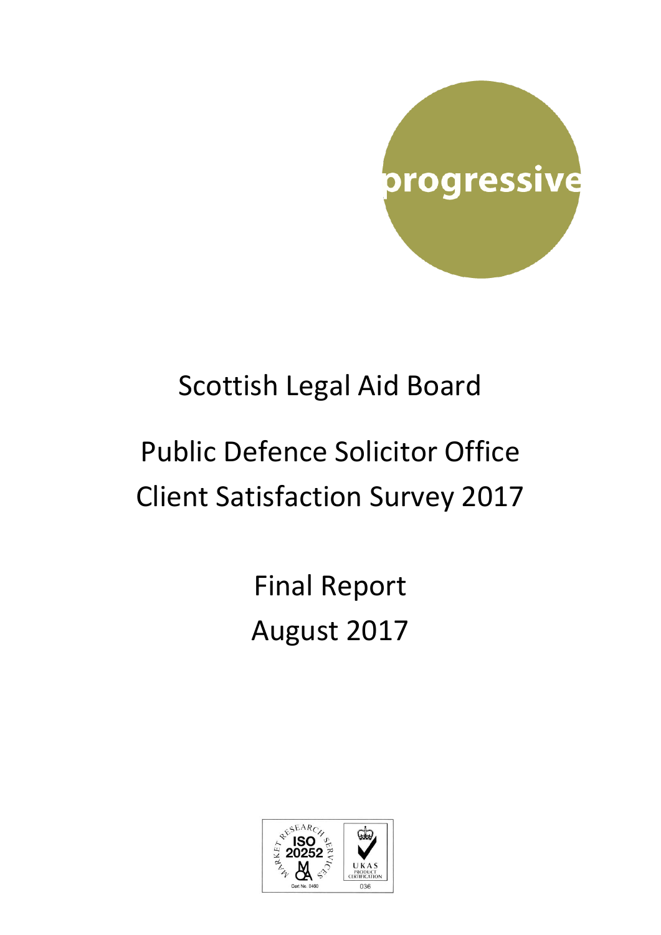

## Scottish Legal Aid Board

# Public Defence Solicitor Office Client Satisfaction Survey 2017

Final Report August 2017

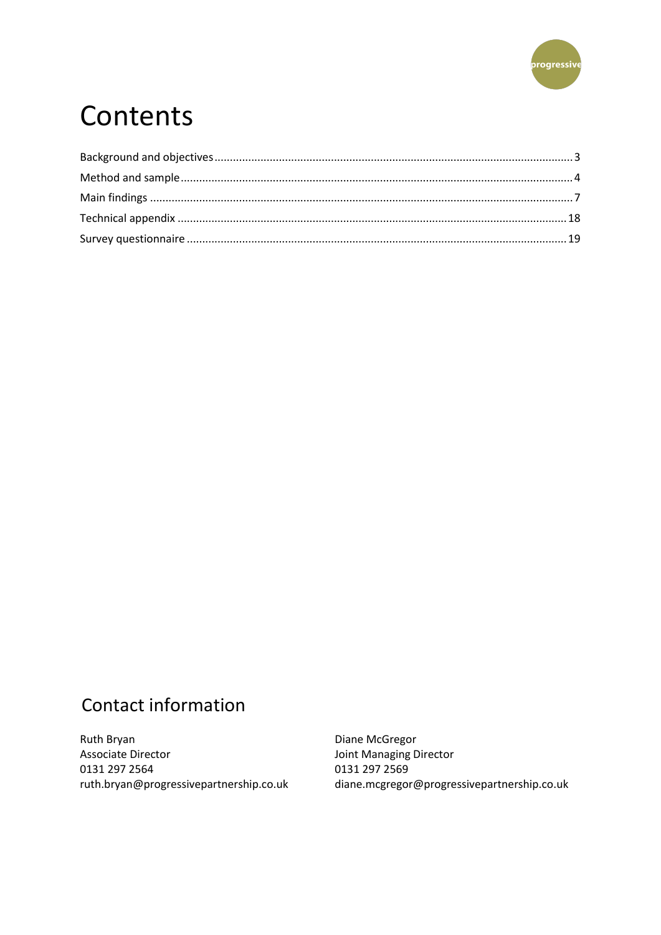

## Contents

## Contact information

Ruth Bryan **Associate Director** 0131 297 2564 ruth.bryan@progressivepartnership.co.uk

Diane McGregor Joint Managing Director 0131 297 2569 diane.mcgregor@progressivepartnership.co.uk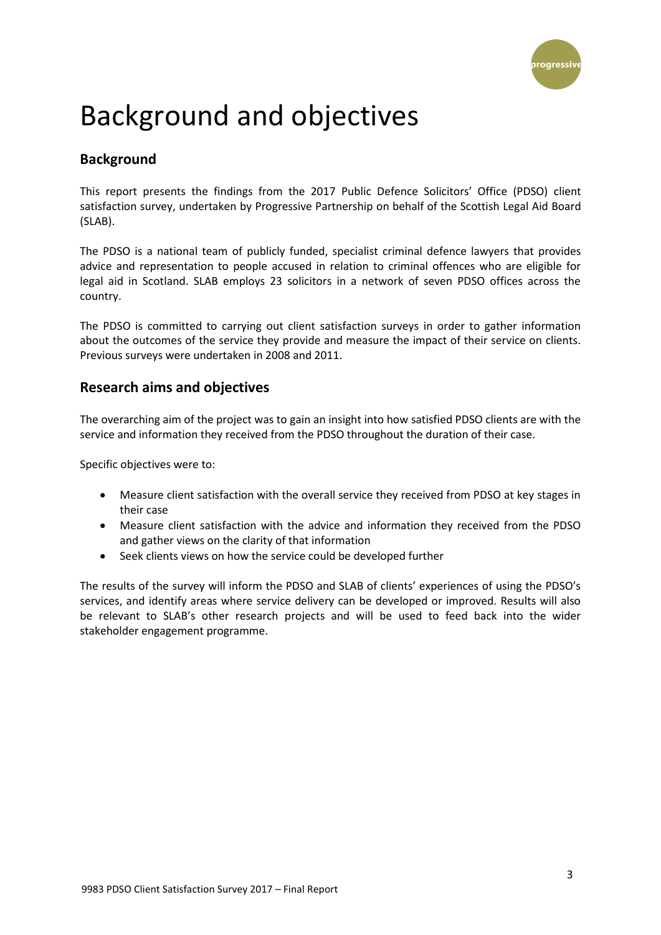

## <span id="page-2-0"></span>Background and objectives

## **Background**

This report presents the findings from the 2017 Public Defence Solicitors' Office (PDSO) client satisfaction survey, undertaken by Progressive Partnership on behalf of the Scottish Legal Aid Board (SLAB).

The PDSO is a national team of publicly funded, specialist criminal defence lawyers that provides advice and representation to people accused in relation to criminal offences who are eligible for legal aid in Scotland. SLAB employs 23 solicitors in a network of seven PDSO offices across the country.

The PDSO is committed to carrying out client satisfaction surveys in order to gather information about the outcomes of the service they provide and measure the impact of their service on clients. Previous surveys were undertaken in 2008 and 2011.

## **Research aims and objectives**

The overarching aim of the project was to gain an insight into how satisfied PDSO clients are with the service and information they received from the PDSO throughout the duration of their case.

Specific objectives were to:

- Measure client satisfaction with the overall service they received from PDSO at key stages in their case
- Measure client satisfaction with the advice and information they received from the PDSO and gather views on the clarity of that information
- Seek clients views on how the service could be developed further

The results of the survey will inform the PDSO and SLAB of clients' experiences of using the PDSO's services, and identify areas where service delivery can be developed or improved. Results will also be relevant to SLAB's other research projects and will be used to feed back into the wider stakeholder engagement programme.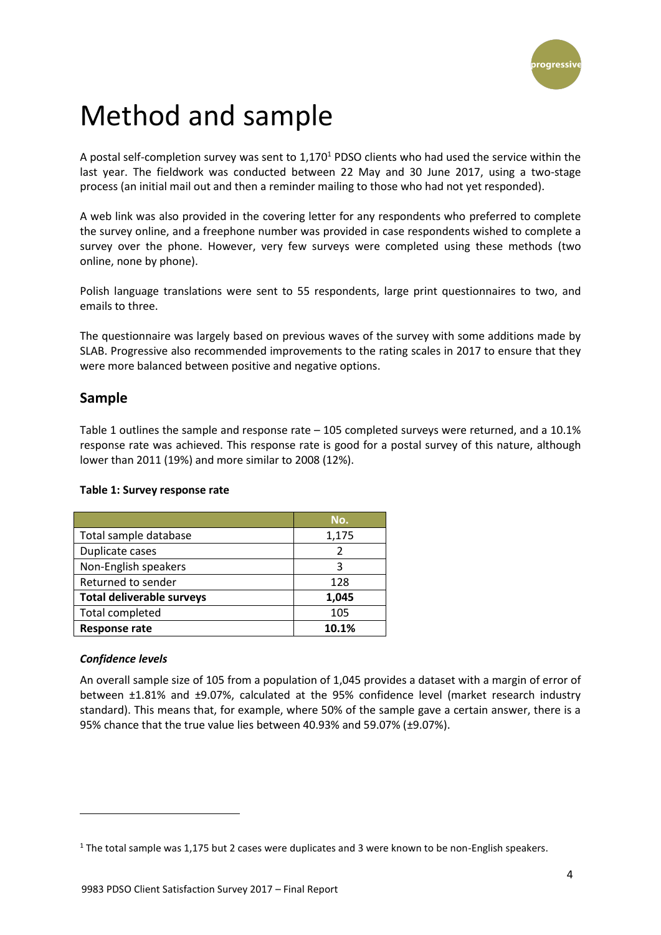

## <span id="page-3-0"></span>Method and sample

A postal self-completion survey was sent to 1,170<sup>1</sup> PDSO clients who had used the service within the last year. The fieldwork was conducted between 22 May and 30 June 2017, using a two-stage process (an initial mail out and then a reminder mailing to those who had not yet responded).

A web link was also provided in the covering letter for any respondents who preferred to complete the survey online, and a freephone number was provided in case respondents wished to complete a survey over the phone. However, very few surveys were completed using these methods (two online, none by phone).

Polish language translations were sent to 55 respondents, large print questionnaires to two, and emails to three.

The questionnaire was largely based on previous waves of the survey with some additions made by SLAB. Progressive also recommended improvements to the rating scales in 2017 to ensure that they were more balanced between positive and negative options.

### **Sample**

Table 1 outlines the sample and response rate – 105 completed surveys were returned, and a 10.1% response rate was achieved. This response rate is good for a postal survey of this nature, although lower than 2011 (19%) and more similar to 2008 (12%).

#### **Table 1: Survey response rate**

|                                  | No.   |
|----------------------------------|-------|
| Total sample database            | 1,175 |
| Duplicate cases                  | 2     |
| Non-English speakers             | ς     |
| Returned to sender               | 128   |
| <b>Total deliverable surveys</b> | 1,045 |
| <b>Total completed</b>           | 105   |
| <b>Response rate</b>             | 10.1% |

#### *Confidence levels*

**.** 

An overall sample size of 105 from a population of 1,045 provides a dataset with a margin of error of between ±1.81% and ±9.07%, calculated at the 95% confidence level (market research industry standard). This means that, for example, where 50% of the sample gave a certain answer, there is a 95% chance that the true value lies between 40.93% and 59.07% (±9.07%).

 $1$  The total sample was 1,175 but 2 cases were duplicates and 3 were known to be non-English speakers.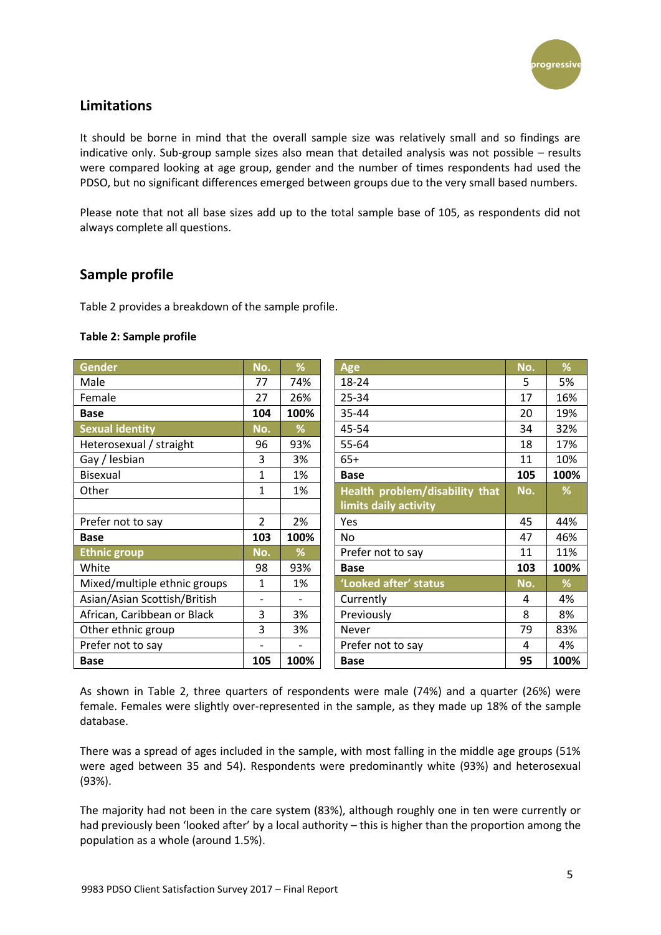

## **Limitations**

It should be borne in mind that the overall sample size was relatively small and so findings are indicative only. Sub-group sample sizes also mean that detailed analysis was not possible – results were compared looking at age group, gender and the number of times respondents had used the PDSO, but no significant differences emerged between groups due to the very small based numbers.

Please note that not all base sizes add up to the total sample base of 105, as respondents did not always complete all questions.

## **Sample profile**

Table 2 provides a breakdown of the sample profile.

#### **Table 2: Sample profile**

| <b>Gender</b>                | No.                      | %    | <b>Age</b>                     | No. | %    |
|------------------------------|--------------------------|------|--------------------------------|-----|------|
| Male                         | 77                       | 74%  | 18-24                          | 5   | 5%   |
| Female                       | 27                       | 26%  | 25-34                          | 17  | 16%  |
| <b>Base</b>                  | 104                      | 100% | 35-44                          | 20  | 19%  |
| <b>Sexual identity</b>       | No.                      | %    | 45-54                          | 34  | 32%  |
| Heterosexual / straight      | 96                       | 93%  | 55-64                          | 18  | 17%  |
| Gay / lesbian                | 3                        | 3%   | $65+$                          | 11  | 10%  |
| Bisexual                     | $\mathbf{1}$             | 1%   | <b>Base</b>                    | 105 | 100% |
| Other                        | 1                        | 1%   | Health problem/disability that | No. | %    |
|                              |                          |      | limits daily activity          |     |      |
| Prefer not to say            | $\overline{2}$           | 2%   | Yes                            | 45  | 44%  |
| <b>Base</b>                  | 103                      | 100% | No                             | 47  | 46%  |
| <b>Ethnic group</b>          | No.                      | %    | Prefer not to say              | 11  | 11%  |
| White                        | 98                       | 93%  | <b>Base</b>                    | 103 | 100% |
| Mixed/multiple ethnic groups | 1                        | 1%   | 'Looked after' status          | No. | %    |
| Asian/Asian Scottish/British | $\overline{\phantom{0}}$ |      | Currently                      | 4   | 4%   |
| African, Caribbean or Black  | 3                        | 3%   | Previously                     | 8   | 8%   |
| Other ethnic group           | 3                        | 3%   | Never                          | 79  | 83%  |
| Prefer not to say            |                          |      | Prefer not to say              | 4   | 4%   |
| <b>Base</b>                  | 105                      | 100% | <b>Base</b>                    | 95  | 100% |

As shown in Table 2, three quarters of respondents were male (74%) and a quarter (26%) were female. Females were slightly over-represented in the sample, as they made up 18% of the sample database.

There was a spread of ages included in the sample, with most falling in the middle age groups (51% were aged between 35 and 54). Respondents were predominantly white (93%) and heterosexual (93%).

The majority had not been in the care system (83%), although roughly one in ten were currently or had previously been 'looked after' by a local authority – this is higher than the proportion among the population as a whole (around 1.5%).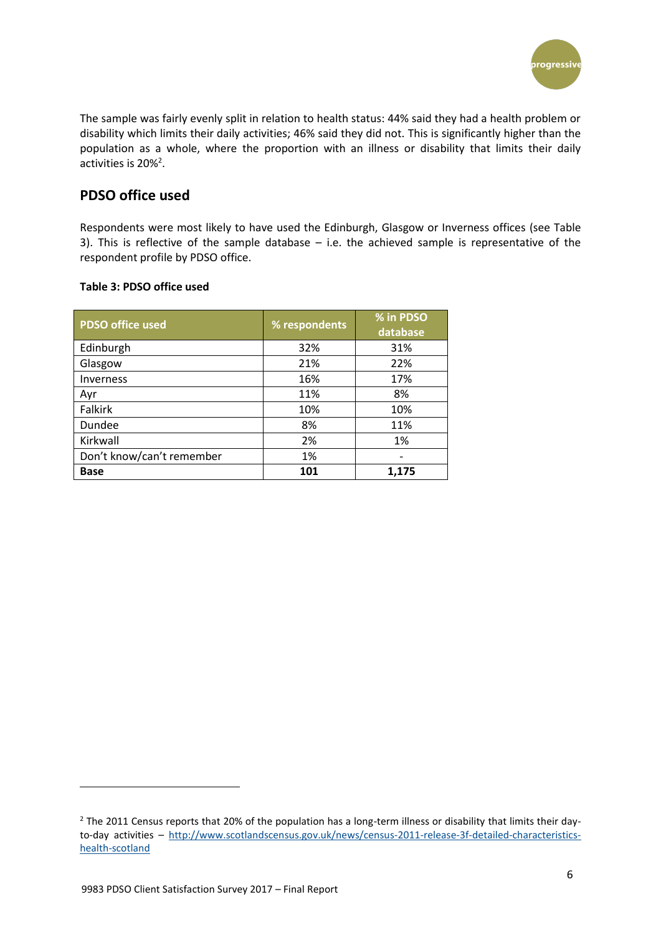

The sample was fairly evenly split in relation to health status: 44% said they had a health problem or disability which limits their daily activities; 46% said they did not. This is significantly higher than the population as a whole, where the proportion with an illness or disability that limits their daily activities is  $20\%^2$ .

## **PDSO office used**

Respondents were most likely to have used the Edinburgh, Glasgow or Inverness offices (see Table 3). This is reflective of the sample database – i.e. the achieved sample is representative of the respondent profile by PDSO office.

#### **Table 3: PDSO office used**

| <b>PDSO</b> office used   | % respondents | % in PDSO<br>database |
|---------------------------|---------------|-----------------------|
| Edinburgh                 | 32%           | 31%                   |
| Glasgow                   | 21%           | 22%                   |
| <b>Inverness</b>          | 16%           | 17%                   |
| Ayr                       | 11%           | 8%                    |
| <b>Falkirk</b>            | 10%           | 10%                   |
| Dundee                    | 8%            | 11%                   |
| Kirkwall                  | 2%            | 1%                    |
| Don't know/can't remember | 1%            |                       |
| <b>Base</b>               | 101           | 1,175                 |

**.** 

<sup>&</sup>lt;sup>2</sup> The 2011 Census reports that 20% of the population has a long-term illness or disability that limits their dayto-day activities – [http://www.scotlandscensus.gov.uk/news/census-2011-release-3f-detailed-characteristics](http://www.scotlandscensus.gov.uk/news/census-2011-release-3f-detailed-characteristics-health-scotland)[health-scotland](http://www.scotlandscensus.gov.uk/news/census-2011-release-3f-detailed-characteristics-health-scotland)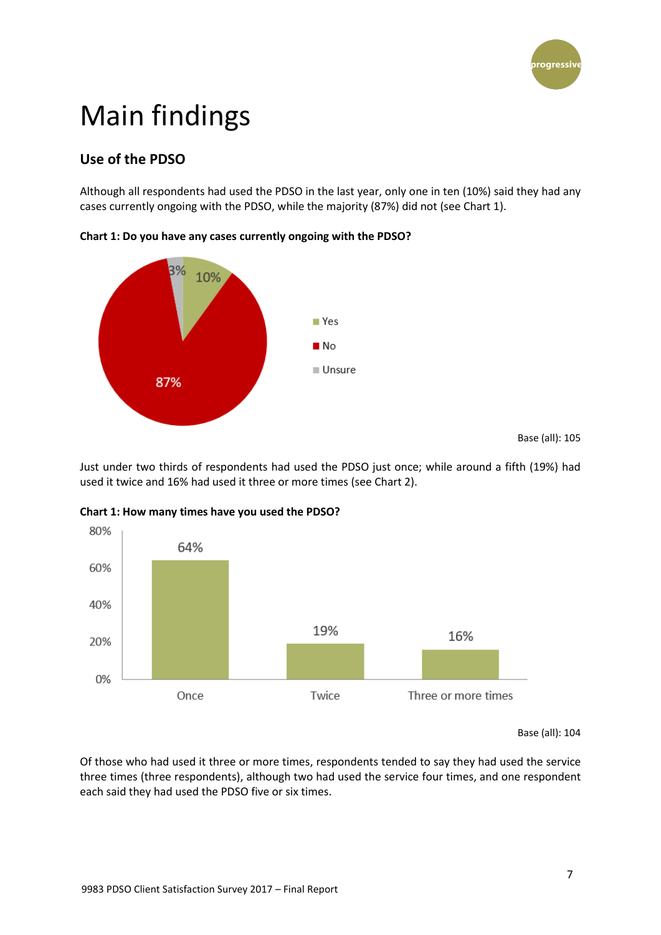

## <span id="page-6-0"></span>Main findings

## **Use of the PDSO**

Although all respondents had used the PDSO in the last year, only one in ten (10%) said they had any cases currently ongoing with the PDSO, while the majority (87%) did not (see Chart 1).

**Chart 1: Do you have any cases currently ongoing with the PDSO?**



Just under two thirds of respondents had used the PDSO just once; while around a fifth (19%) had used it twice and 16% had used it three or more times (see Chart 2).



#### **Chart 1: How many times have you used the PDSO?**

Base (all): 104

Of those who had used it three or more times, respondents tended to say they had used the service three times (three respondents), although two had used the service four times, and one respondent each said they had used the PDSO five or six times.

Base (all): 105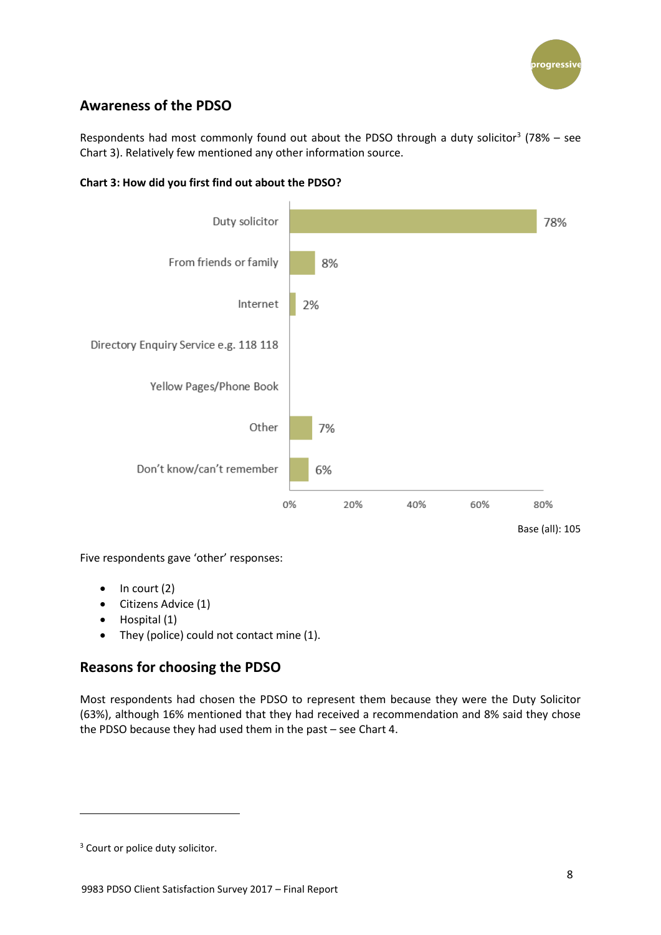

## **Awareness of the PDSO**

Respondents had most commonly found out about the PDSO through a duty solicitor<sup>3</sup> (78% – see Chart 3). Relatively few mentioned any other information source.





Five respondents gave 'other' responses:

- $\bullet$  In court (2)
- Citizens Advice (1)
- Hospital (1)
- They (police) could not contact mine (1).

## **Reasons for choosing the PDSO**

Most respondents had chosen the PDSO to represent them because they were the Duty Solicitor (63%), although 16% mentioned that they had received a recommendation and 8% said they chose the PDSO because they had used them in the past – see Chart 4.

**.** 

<sup>&</sup>lt;sup>3</sup> Court or police duty solicitor.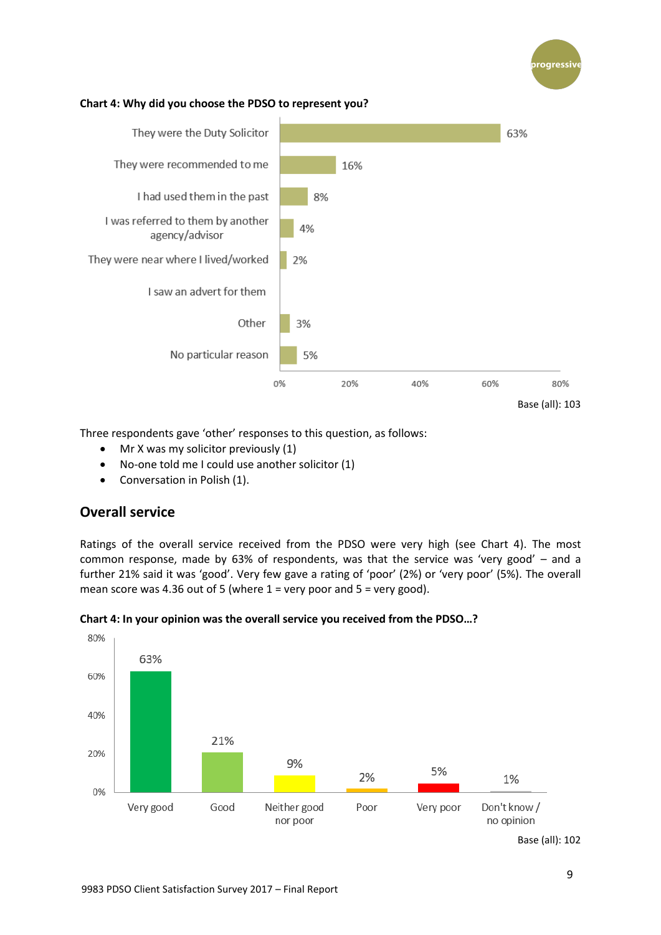

#### **Chart 4: Why did you choose the PDSO to represent you?**



Three respondents gave 'other' responses to this question, as follows:

- Mr X was my solicitor previously (1)
- No-one told me I could use another solicitor (1)
- Conversation in Polish (1).

## **Overall service**

Ratings of the overall service received from the PDSO were very high (see Chart 4). The most common response, made by 63% of respondents, was that the service was 'very good' – and a further 21% said it was 'good'. Very few gave a rating of 'poor' (2%) or 'very poor' (5%). The overall mean score was 4.36 out of 5 (where  $1$  = very poor and  $5$  = very good).



#### **Chart 4: In your opinion was the overall service you received from the PDSO…?**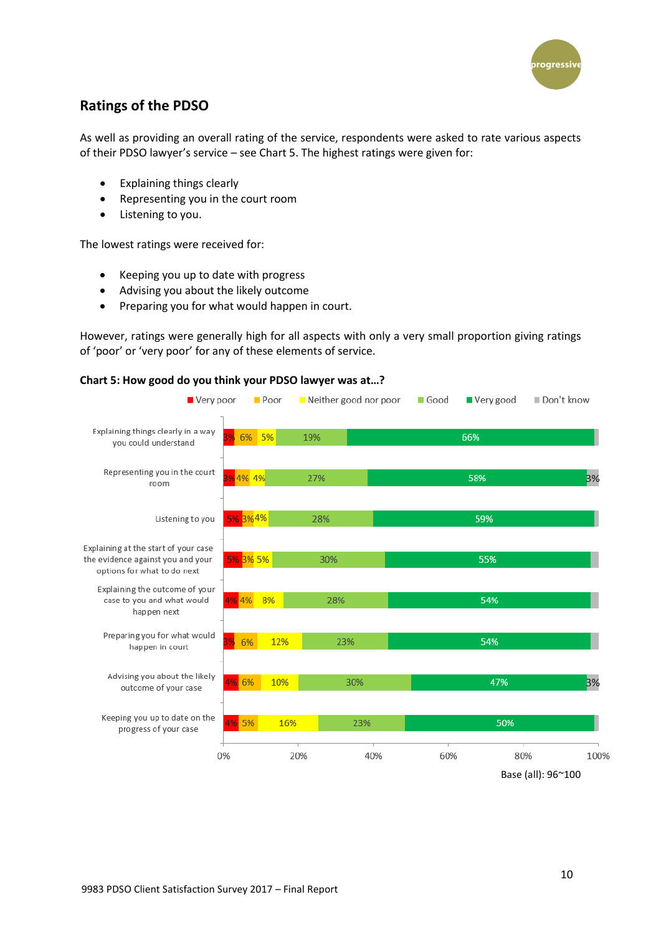

## **Ratings of the PDSO**

As well as providing an overall rating of the service, respondents were asked to rate various aspects of their PDSO lawyer's service – see Chart 5. The highest ratings were given for:

- Explaining things clearly
- Representing you in the court room
- Listening to you.

The lowest ratings were received for:

- Keeping you up to date with progress
- Advising you about the likely outcome
- Preparing you for what would happen in court.

However, ratings were generally high for all aspects with only a very small proportion giving ratings of 'poor' or 'very poor' for any of these elements of service.

#### **Chart 5: How good do you think your PDSO lawyer was at…?**



Base (all): 96~100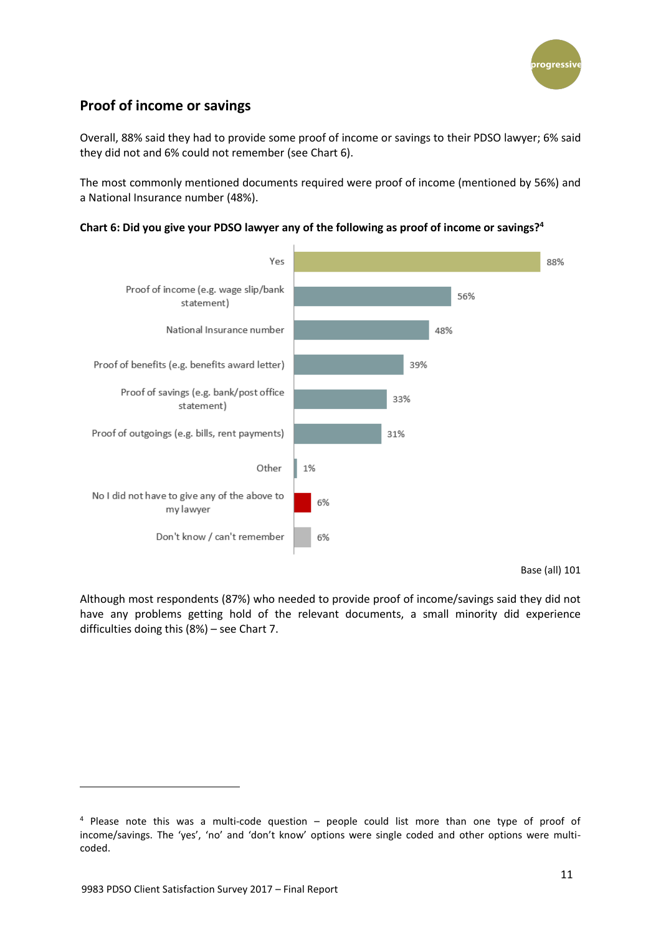

## **Proof of income or savings**

Overall, 88% said they had to provide some proof of income or savings to their PDSO lawyer; 6% said they did not and 6% could not remember (see Chart 6).

The most commonly mentioned documents required were proof of income (mentioned by 56%) and a National Insurance number (48%).





Base (all) 101

Although most respondents (87%) who needed to provide proof of income/savings said they did not have any problems getting hold of the relevant documents, a small minority did experience difficulties doing this (8%) – see Chart 7.

**.** 

<sup>4</sup> Please note this was a multi-code question – people could list more than one type of proof of income/savings. The 'yes', 'no' and 'don't know' options were single coded and other options were multicoded.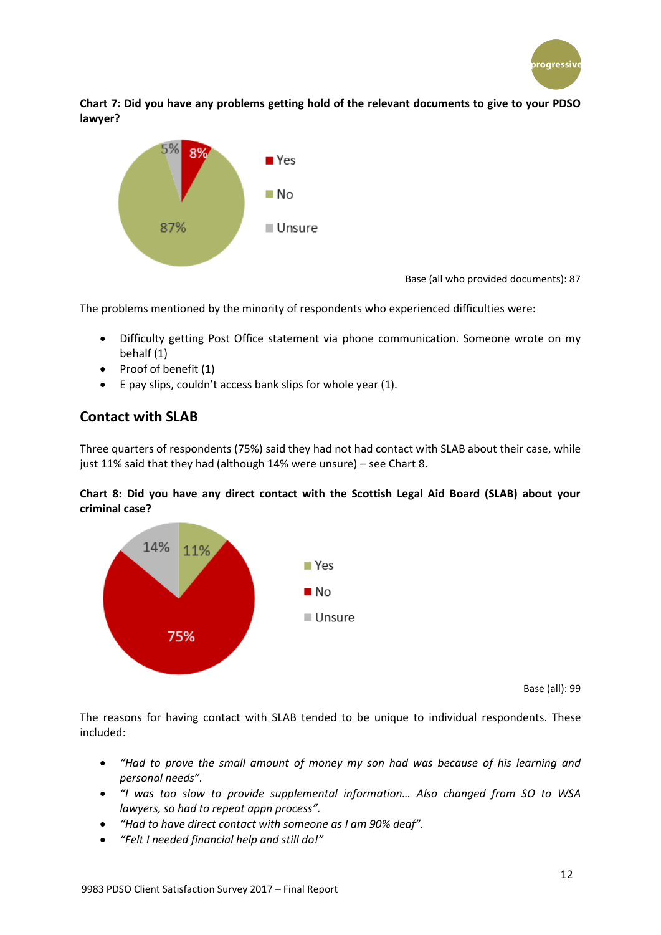

**Chart 7: Did you have any problems getting hold of the relevant documents to give to your PDSO lawyer?**



Base (all who provided documents): 87

The problems mentioned by the minority of respondents who experienced difficulties were:

- Difficulty getting Post Office statement via phone communication. Someone wrote on my behalf (1)
- $\bullet$  Proof of benefit (1)
- $\bullet$  E pay slips, couldn't access bank slips for whole year (1).

## **Contact with SLAB**

Three quarters of respondents (75%) said they had not had contact with SLAB about their case, while just 11% said that they had (although 14% were unsure) – see Chart 8.

#### **Chart 8: Did you have any direct contact with the Scottish Legal Aid Board (SLAB) about your criminal case?**



Base (all): 99

The reasons for having contact with SLAB tended to be unique to individual respondents. These included:

- *"Had to prove the small amount of money my son had was because of his learning and personal needs".*
- *"I was too slow to provide supplemental information… Also changed from SO to WSA lawyers, so had to repeat appn process".*
- *"Had to have direct contact with someone as I am 90% deaf".*
- *"Felt I needed financial help and still do!"*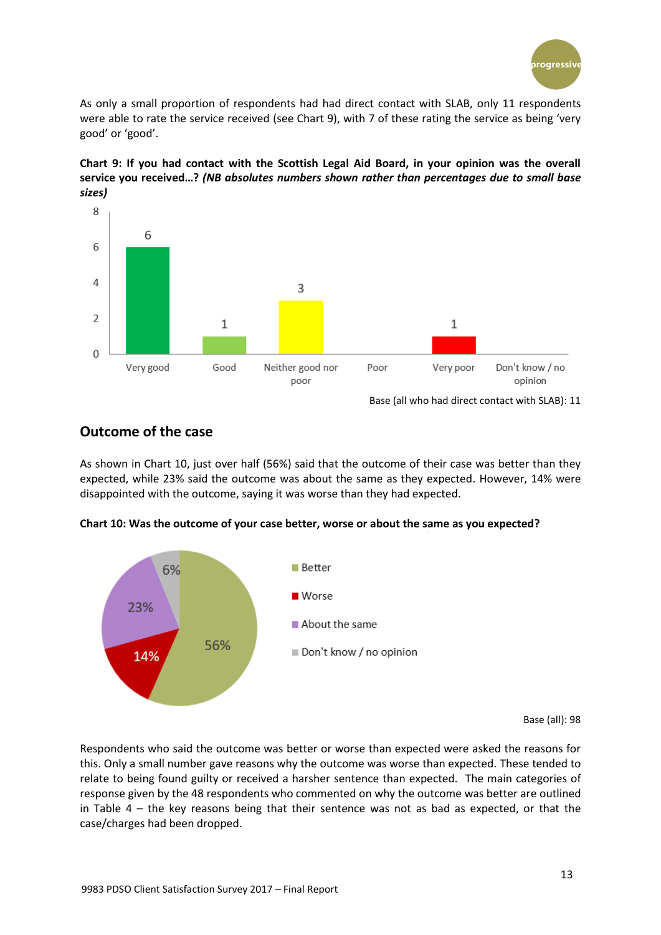

As only a small proportion of respondents had had direct contact with SLAB, only 11 respondents were able to rate the service received (see Chart 9), with 7 of these rating the service as being 'very good' or 'good'.

**Chart 9: If you had contact with the Scottish Legal Aid Board, in your opinion was the overall service you received…?** *(NB absolutes numbers shown rather than percentages due to small base sizes)*



### **Outcome of the case**

As shown in Chart 10, just over half (56%) said that the outcome of their case was better than they expected, while 23% said the outcome was about the same as they expected. However, 14% were disappointed with the outcome, saying it was worse than they had expected.





Base (all): 98

Respondents who said the outcome was better or worse than expected were asked the reasons for this. Only a small number gave reasons why the outcome was worse than expected. These tended to relate to being found guilty or received a harsher sentence than expected. The main categories of response given by the 48 respondents who commented on why the outcome was better are outlined in Table  $4 -$  the key reasons being that their sentence was not as bad as expected, or that the case/charges had been dropped.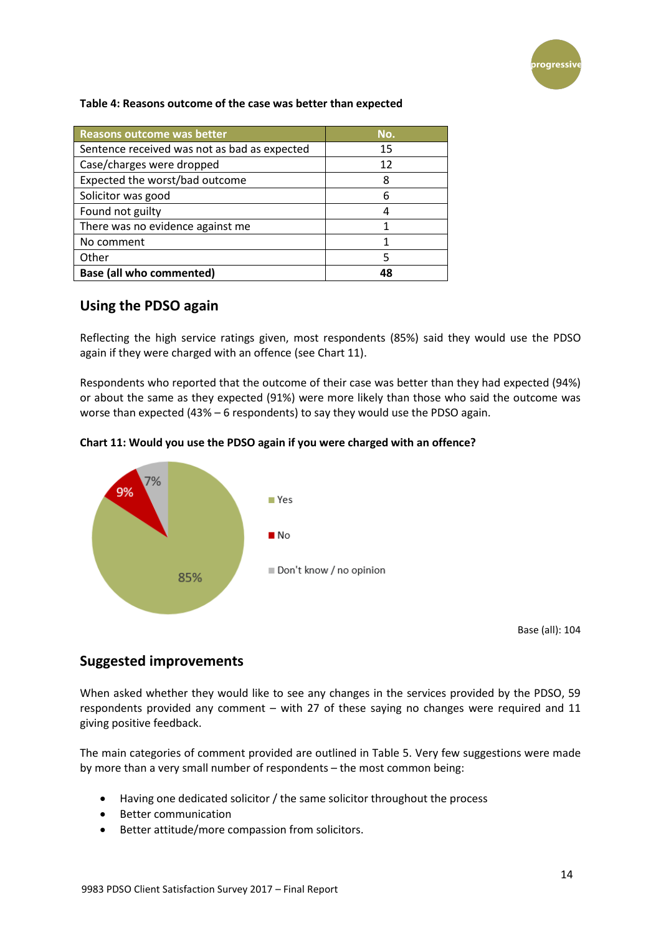

#### **Table 4: Reasons outcome of the case was better than expected**

| Reasons outcome was better                   | No. |
|----------------------------------------------|-----|
| Sentence received was not as bad as expected | 15  |
| Case/charges were dropped                    | 12  |
| Expected the worst/bad outcome               | 8   |
| Solicitor was good                           | 6   |
| Found not guilty                             |     |
| There was no evidence against me             |     |
| No comment                                   |     |
| Other                                        |     |
| <b>Base (all who commented)</b>              | 48  |

#### **Using the PDSO again**

Reflecting the high service ratings given, most respondents (85%) said they would use the PDSO again if they were charged with an offence (see Chart 11).

Respondents who reported that the outcome of their case was better than they had expected (94%) or about the same as they expected (91%) were more likely than those who said the outcome was worse than expected (43% – 6 respondents) to say they would use the PDSO again.





Base (all): 104

### **Suggested improvements**

When asked whether they would like to see any changes in the services provided by the PDSO, 59 respondents provided any comment – with 27 of these saying no changes were required and 11 giving positive feedback.

The main categories of comment provided are outlined in Table 5. Very few suggestions were made by more than a very small number of respondents – the most common being:

- Having one dedicated solicitor / the same solicitor throughout the process
- Better communication
- Better attitude/more compassion from solicitors.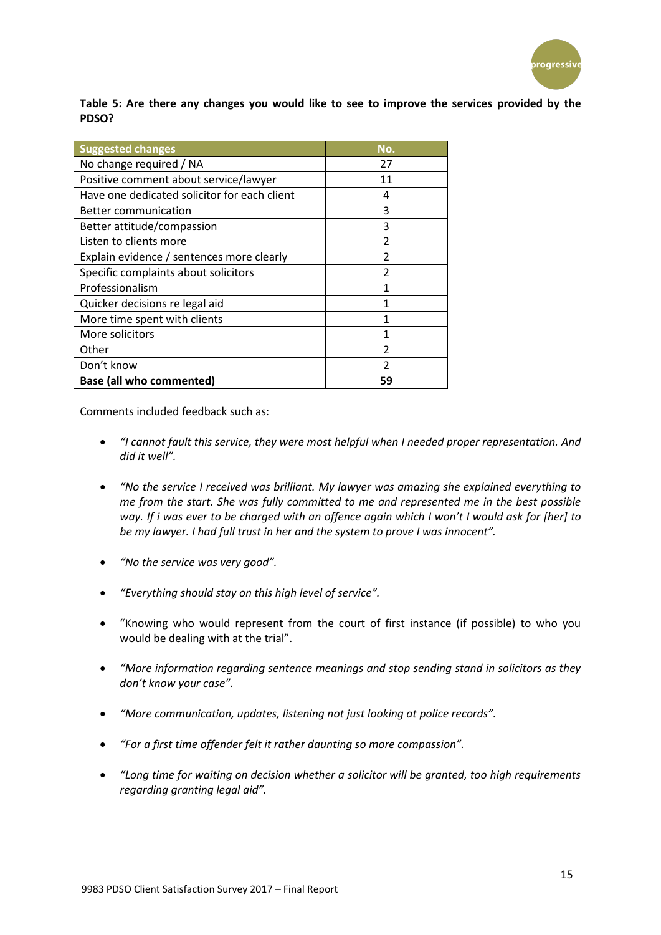

**Table 5: Are there any changes you would like to see to improve the services provided by the PDSO?**

| <b>Suggested changes</b>                     | No.                      |
|----------------------------------------------|--------------------------|
| No change required / NA                      | 27                       |
| Positive comment about service/lawyer        | 11                       |
| Have one dedicated solicitor for each client | 4                        |
| <b>Better communication</b>                  | 3                        |
| Better attitude/compassion                   | 3                        |
| Listen to clients more                       | $\overline{\mathcal{L}}$ |
| Explain evidence / sentences more clearly    | $\overline{\mathcal{L}}$ |
| Specific complaints about solicitors         | $\overline{\mathcal{L}}$ |
| Professionalism                              | 1                        |
| Quicker decisions re legal aid               | 1                        |
| More time spent with clients                 | 1                        |
| More solicitors                              | 1                        |
| Other                                        | $\overline{\mathcal{L}}$ |
| Don't know                                   | $\mathfrak z$            |
| <b>Base (all who commented)</b>              | 59                       |

Comments included feedback such as:

- *"I cannot fault this service, they were most helpful when I needed proper representation. And did it well".*
- *"No the service I received was brilliant. My lawyer was amazing she explained everything to me from the start. She was fully committed to me and represented me in the best possible way. If i was ever to be charged with an offence again which I won't I would ask for [her] to be my lawyer. I had full trust in her and the system to prove I was innocent".*
- *"No the service was very good".*
- *"Everything should stay on this high level of service".*
- "Knowing who would represent from the court of first instance (if possible) to who you would be dealing with at the trial".
- *"More information regarding sentence meanings and stop sending stand in solicitors as they don't know your case".*
- *"More communication, updates, listening not just looking at police records".*
- *"For a first time offender felt it rather daunting so more compassion".*
- *"Long time for waiting on decision whether a solicitor will be granted, too high requirements regarding granting legal aid".*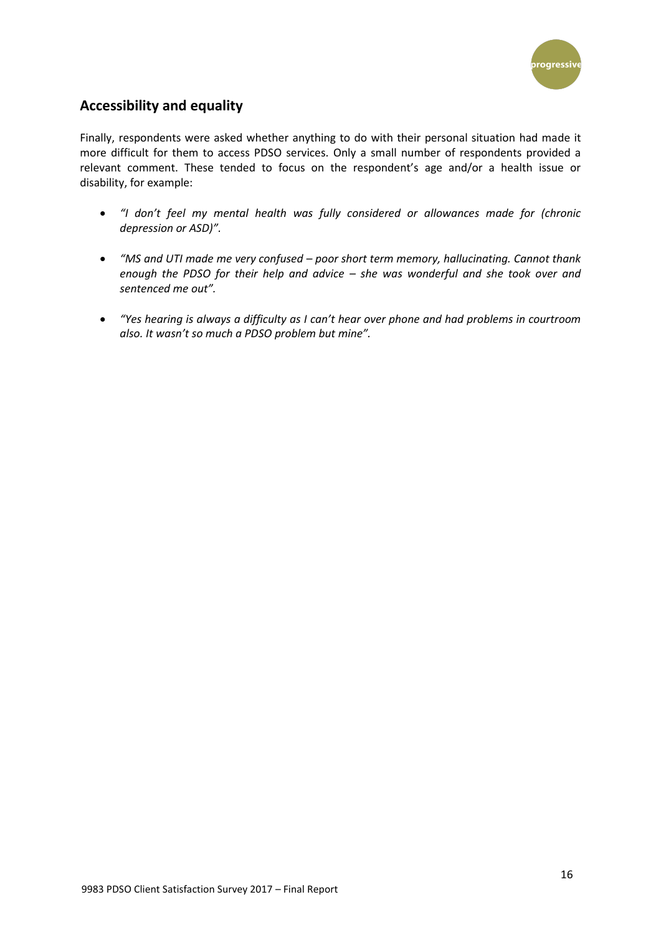

## **Accessibility and equality**

Finally, respondents were asked whether anything to do with their personal situation had made it more difficult for them to access PDSO services. Only a small number of respondents provided a relevant comment. These tended to focus on the respondent's age and/or a health issue or disability, for example:

- *"I don't feel my mental health was fully considered or allowances made for (chronic depression or ASD)".*
- *"MS and UTI made me very confused – poor short term memory, hallucinating. Cannot thank enough the PDSO for their help and advice – she was wonderful and she took over and sentenced me out".*
- *"Yes hearing is always a difficulty as I can't hear over phone and had problems in courtroom also. It wasn't so much a PDSO problem but mine".*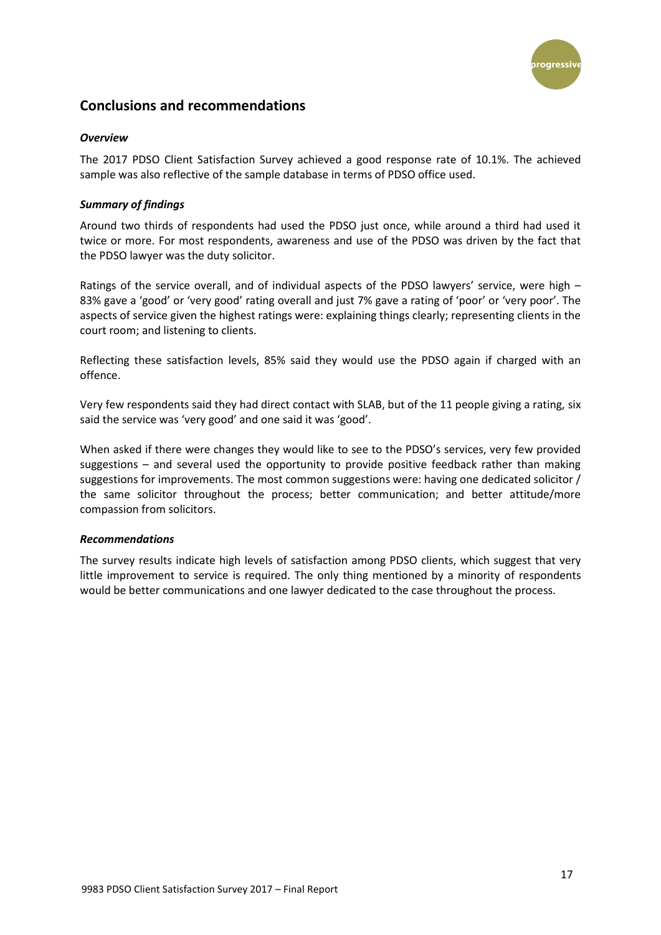

## **Conclusions and recommendations**

#### *Overview*

The 2017 PDSO Client Satisfaction Survey achieved a good response rate of 10.1%. The achieved sample was also reflective of the sample database in terms of PDSO office used.

#### *Summary of findings*

Around two thirds of respondents had used the PDSO just once, while around a third had used it twice or more. For most respondents, awareness and use of the PDSO was driven by the fact that the PDSO lawyer was the duty solicitor.

Ratings of the service overall, and of individual aspects of the PDSO lawyers' service, were high – 83% gave a 'good' or 'very good' rating overall and just 7% gave a rating of 'poor' or 'very poor'. The aspects of service given the highest ratings were: explaining things clearly; representing clients in the court room; and listening to clients.

Reflecting these satisfaction levels, 85% said they would use the PDSO again if charged with an offence.

Very few respondents said they had direct contact with SLAB, but of the 11 people giving a rating, six said the service was 'very good' and one said it was 'good'.

When asked if there were changes they would like to see to the PDSO's services, very few provided suggestions – and several used the opportunity to provide positive feedback rather than making suggestions for improvements. The most common suggestions were: having one dedicated solicitor / the same solicitor throughout the process; better communication; and better attitude/more compassion from solicitors.

#### *Recommendations*

The survey results indicate high levels of satisfaction among PDSO clients, which suggest that very little improvement to service is required. The only thing mentioned by a minority of respondents would be better communications and one lawyer dedicated to the case throughout the process.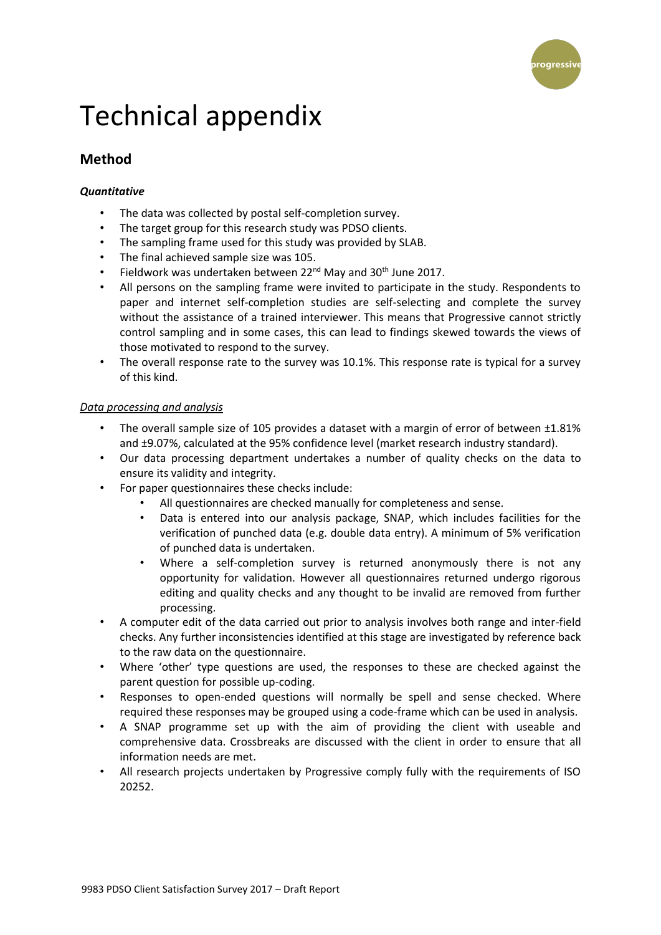

## <span id="page-17-0"></span>Technical appendix

## **Method**

#### *Quantitative*

- The data was collected by postal self-completion survey.
- The target group for this research study was PDSO clients.
- The sampling frame used for this study was provided by SLAB.
- The final achieved sample size was 105.
- Fieldwork was undertaken between 22<sup>nd</sup> May and 30<sup>th</sup> June 2017.
- All persons on the sampling frame were invited to participate in the study. Respondents to paper and internet self-completion studies are self-selecting and complete the survey without the assistance of a trained interviewer. This means that Progressive cannot strictly control sampling and in some cases, this can lead to findings skewed towards the views of those motivated to respond to the survey.
- The overall response rate to the survey was 10.1%. This response rate is typical for a survey of this kind.

#### *Data processing and analysis*

- The overall sample size of 105 provides a dataset with a margin of error of between ±1.81% and ±9.07%, calculated at the 95% confidence level (market research industry standard).
- Our data processing department undertakes a number of quality checks on the data to ensure its validity and integrity.
- For paper questionnaires these checks include:
	- All questionnaires are checked manually for completeness and sense.
	- Data is entered into our analysis package, SNAP, which includes facilities for the verification of punched data (e.g. double data entry). A minimum of 5% verification of punched data is undertaken.
	- Where a self-completion survey is returned anonymously there is not any opportunity for validation. However all questionnaires returned undergo rigorous editing and quality checks and any thought to be invalid are removed from further processing.
- A computer edit of the data carried out prior to analysis involves both range and inter-field checks. Any further inconsistencies identified at this stage are investigated by reference back to the raw data on the questionnaire.
- Where 'other' type questions are used, the responses to these are checked against the parent question for possible up-coding.
- Responses to open-ended questions will normally be spell and sense checked. Where required these responses may be grouped using a code-frame which can be used in analysis.
- A SNAP programme set up with the aim of providing the client with useable and comprehensive data. Crossbreaks are discussed with the client in order to ensure that all information needs are met.
- All research projects undertaken by Progressive comply fully with the requirements of ISO 20252.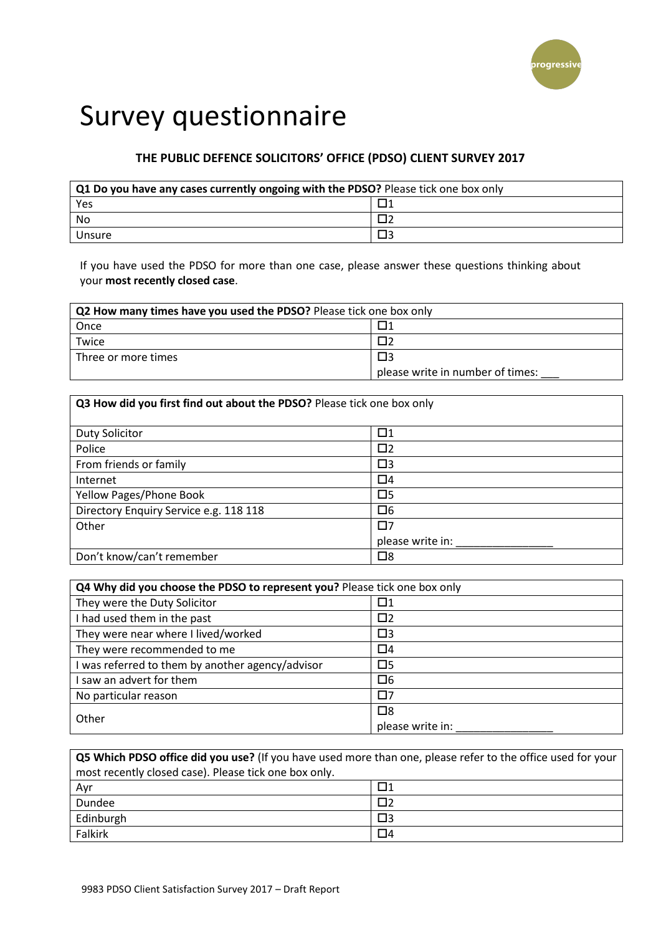

## <span id="page-18-0"></span>Survey questionnaire

## **THE PUBLIC DEFENCE SOLICITORS' OFFICE (PDSO) CLIENT SURVEY 2017**

| Q1 Do you have any cases currently ongoing with the PDSO? Please tick one box only |  |  |
|------------------------------------------------------------------------------------|--|--|
| Yes                                                                                |  |  |
| No                                                                                 |  |  |
| Unsure                                                                             |  |  |

If you have used the PDSO for more than one case, please answer these questions thinking about your **most recently closed case**.

| Q2 How many times have you used the PDSO? Please tick one box only |                                  |  |
|--------------------------------------------------------------------|----------------------------------|--|
| Once                                                               |                                  |  |
| Twice                                                              |                                  |  |
| Three or more times                                                |                                  |  |
|                                                                    | please write in number of times: |  |

| Q3 How did you first find out about the PDSO? Please tick one box only |                  |  |
|------------------------------------------------------------------------|------------------|--|
|                                                                        |                  |  |
| Duty Solicitor                                                         | $\Box$ 1         |  |
| Police                                                                 | $\square$        |  |
| From friends or family                                                 | $\square$        |  |
| Internet                                                               | $\Box 4$         |  |
| Yellow Pages/Phone Book                                                | $\square$        |  |
| Directory Enquiry Service e.g. 118 118                                 | $\Box$ 6         |  |
| Other                                                                  | 口7               |  |
|                                                                        | please write in: |  |
| Don't know/can't remember                                              | $\square$        |  |

| Q4 Why did you choose the PDSO to represent you? Please tick one box only |                  |  |
|---------------------------------------------------------------------------|------------------|--|
| They were the Duty Solicitor                                              |                  |  |
| I had used them in the past                                               | □2               |  |
| They were near where I lived/worked                                       | $\square$        |  |
| They were recommended to me                                               | $\Box 4$         |  |
| I was referred to them by another agency/advisor                          | $\square$ 5      |  |
| saw an advert for them                                                    | $\Box 6$         |  |
| No particular reason                                                      | $\square$ 7      |  |
| Other                                                                     | $\square$        |  |
|                                                                           | please write in: |  |

| <b>Q5 Which PDSO office did you use?</b> (If you have used more than one, please refer to the office used for your |    |  |
|--------------------------------------------------------------------------------------------------------------------|----|--|
| most recently closed case). Please tick one box only.                                                              |    |  |
| Avr                                                                                                                | ⊓1 |  |
| Dundee                                                                                                             |    |  |
| Edinburgh                                                                                                          | Π3 |  |
| Falkirk                                                                                                            | П4 |  |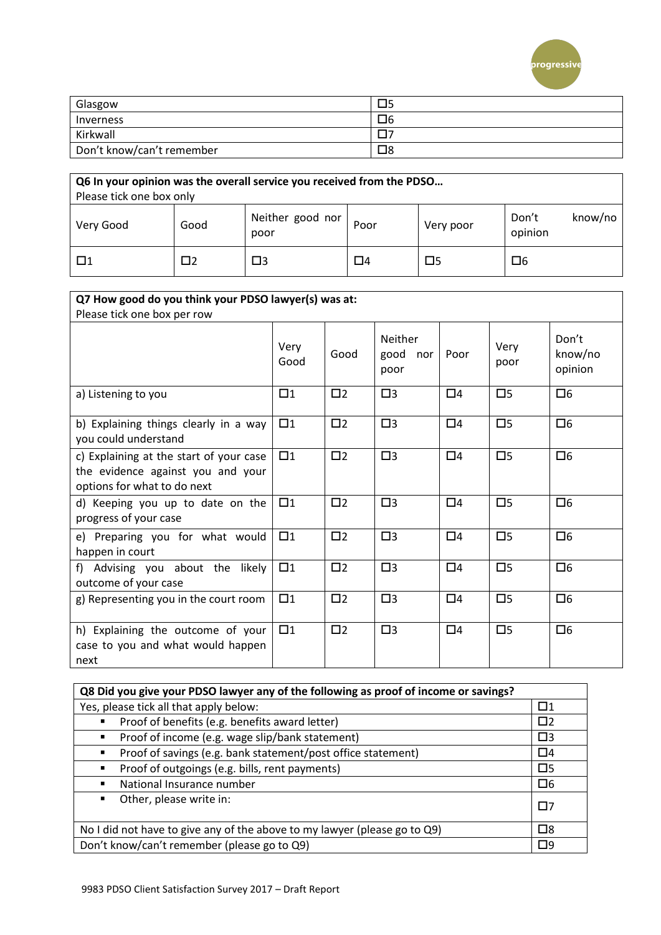

| Glasgow                   | ⊐⊃ |
|---------------------------|----|
| Inverness                 | □6 |
| Kirkwall                  |    |
| Don't know/can't remember | ⊠⊡ |

| Q6 In your opinion was the overall service you received from the PDSO<br>Please tick one box only |      |                          |      |           |                             |
|---------------------------------------------------------------------------------------------------|------|--------------------------|------|-----------|-----------------------------|
| Very Good                                                                                         | Good | Neither good nor<br>poor | Poor | Very poor | Don't<br>know/no<br>opinion |
| $\Box$ 1                                                                                          | כ⊓   | □3                       | □4   | $\square$ | 口6                          |

| Q7 How good do you think your PDSO lawyer(s) was at:                                                        |              |           |                                       |          |              |                             |
|-------------------------------------------------------------------------------------------------------------|--------------|-----------|---------------------------------------|----------|--------------|-----------------------------|
| Please tick one box per row                                                                                 |              |           |                                       |          |              |                             |
|                                                                                                             | Very<br>Good | Good      | <b>Neither</b><br>good<br>nor<br>poor | Poor     | Very<br>poor | Don't<br>know/no<br>opinion |
| a) Listening to you                                                                                         | $\square$ 1  | $\square$ | $\square$                             | $\Box 4$ | $\square$    | $\Box 6$                    |
| b) Explaining things clearly in a way<br>you could understand                                               | $\square$ 1  | $\square$ | $\square$                             | $\Box$ 4 | $\square$    | $\Box 6$                    |
| c) Explaining at the start of your case<br>the evidence against you and your<br>options for what to do next | $\square$ 1  | $\square$ | $\square$                             | $\Box$ 4 | $\square$    | $\Box 6$                    |
| d) Keeping you up to date on the<br>progress of your case                                                   | $\square$ 1  | $\square$ | $\square$                             | $\Box 4$ | $\square$    | $\square$ 6                 |
| e) Preparing you for what would<br>happen in court                                                          | $\square$ 1  | $\square$ | $\square$                             | $\Box 4$ | $\square$    | $\Box 6$                    |
| f) Advising you about the likely<br>outcome of your case                                                    | $\square$ 1  | $\square$ | $\square$                             | $\Box 4$ | $\square$    | $\Box 6$                    |
| g) Representing you in the court room                                                                       | $\square$ 1  | $\square$ | $\square$                             | $\Box$ 4 | $\square$    | $\Box 6$                    |
| h) Explaining the outcome of your<br>case to you and what would happen<br>next                              | $\square$ 1  | $\square$ | $\square$                             | $\Box 4$ | $\square$    | $\Box 6$                    |

| Q8 Did you give your PDSO lawyer any of the following as proof of income or savings?   |             |  |
|----------------------------------------------------------------------------------------|-------------|--|
| Yes, please tick all that apply below:                                                 | $\square$ 1 |  |
| Proof of benefits (e.g. benefits award letter)                                         | $\square$   |  |
| Proof of income (e.g. wage slip/bank statement)<br>$\blacksquare$                      | $\square$   |  |
| Proof of savings (e.g. bank statement/post office statement)<br>$\blacksquare$         | $\Box$ 4    |  |
| Proof of outgoings (e.g. bills, rent payments)<br>٠                                    | $\square$   |  |
| National Insurance number                                                              | $\Box 6$    |  |
| Other, please write in:<br>п.                                                          | $\square$   |  |
| $\square$<br>No I did not have to give any of the above to my lawyer (please go to Q9) |             |  |
| Don't know/can't remember (please go to Q9)                                            |             |  |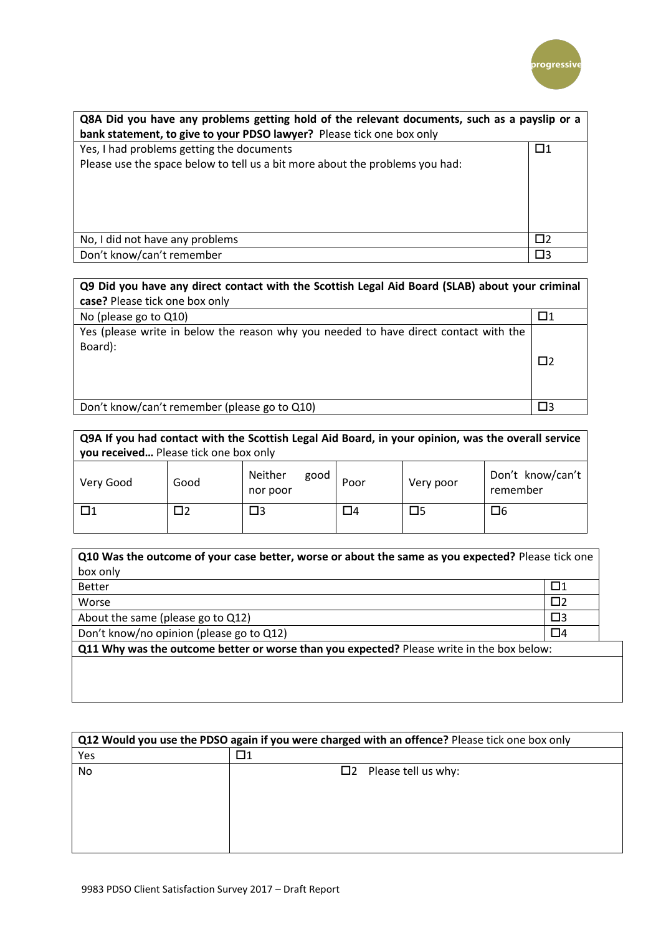

| Q8A Did you have any problems getting hold of the relevant documents, such as a payslip or a<br>bank statement, to give to your PDSO lawyer? Please tick one box only |             |  |
|-----------------------------------------------------------------------------------------------------------------------------------------------------------------------|-------------|--|
| Yes, I had problems getting the documents                                                                                                                             | $\Box$ 1    |  |
| Please use the space below to tell us a bit more about the problems you had:                                                                                          |             |  |
| No, I did not have any problems                                                                                                                                       | Π2          |  |
| Don't know/can't remember                                                                                                                                             | $\square$ 3 |  |

| Q9 Did you have any direct contact with the Scottish Legal Aid Board (SLAB) about your criminal |    |
|-------------------------------------------------------------------------------------------------|----|
| case? Please tick one box only                                                                  |    |
| No (please go to Q10)                                                                           |    |
| Yes (please write in below the reason why you needed to have direct contact with the<br>Board): | Π? |
| Don't know/can't remember (please go to Q10)                                                    | ПЗ |
|                                                                                                 |    |

| Q9A If you had contact with the Scottish Legal Aid Board, in your opinion, was the overall service<br>you received Please tick one box only |      |                             |      |           |                              |
|---------------------------------------------------------------------------------------------------------------------------------------------|------|-----------------------------|------|-----------|------------------------------|
| Very Good                                                                                                                                   | Good | Neither<br>good<br>nor poor | Poor | Very poor | Don't know/can't<br>remember |
| П1                                                                                                                                          |      | □3                          | □4   | □5        | 口6                           |

| Q10 Was the outcome of your case better, worse or about the same as you expected? Please tick one |           |  |  |
|---------------------------------------------------------------------------------------------------|-----------|--|--|
| box only                                                                                          |           |  |  |
| <b>Better</b>                                                                                     | □1        |  |  |
| Worse                                                                                             | $\square$ |  |  |
| About the same (please go to Q12)                                                                 | $\square$ |  |  |
| Don't know/no opinion (please go to Q12)                                                          | $\Box 4$  |  |  |
| Q11 Why was the outcome better or worse than you expected? Please write in the box below:         |           |  |  |
|                                                                                                   |           |  |  |
|                                                                                                   |           |  |  |

| <b>Q12 Would you use the PDSO again if you were charged with an offence?</b> Please tick one box only |                               |  |  |  |
|-------------------------------------------------------------------------------------------------------|-------------------------------|--|--|--|
| Yes                                                                                                   |                               |  |  |  |
| No.                                                                                                   | $\square$ Please tell us why: |  |  |  |
|                                                                                                       |                               |  |  |  |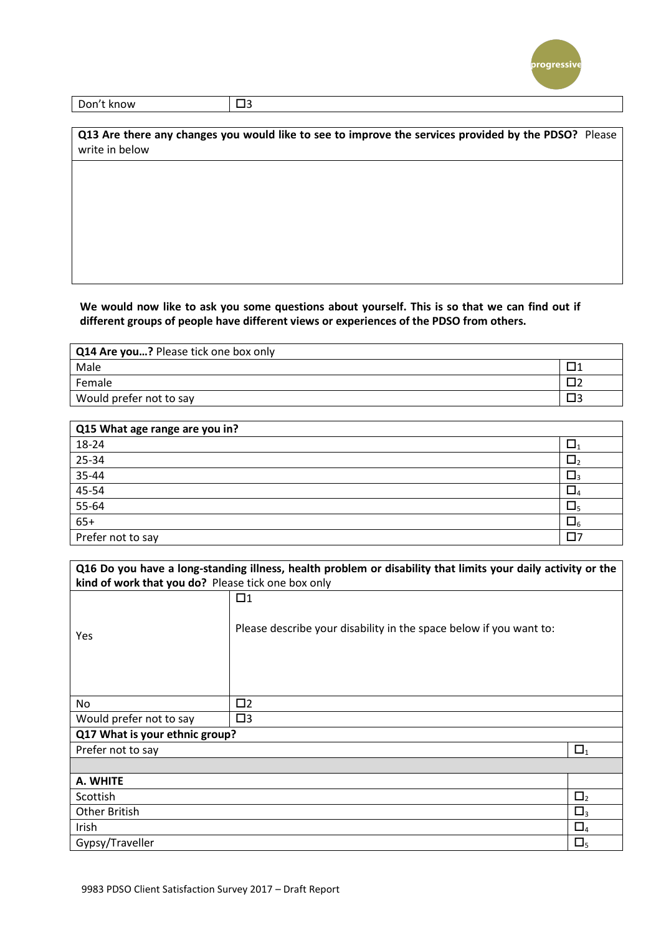

| Don<br>know | . .<br>$\sim$ |
|-------------|---------------|
|             |               |

**Q13 Are there any changes you would like to see to improve the services provided by the PDSO?** Please write in below

#### **We would now like to ask you some questions about yourself. This is so that we can find out if different groups of people have different views or experiences of the PDSO from others.**

| <b>Q14 Are you?</b> Please tick one box only |  |
|----------------------------------------------|--|
| Male                                         |  |
| Female                                       |  |
| Would prefer not to say                      |  |

| Q15 What age range are you in? |    |
|--------------------------------|----|
| 18-24                          |    |
| 25-34                          |    |
| 35-44                          |    |
| 45-54                          |    |
| $55 - 64$                      | ш5 |
| $65+$                          |    |
| Prefer not to say              |    |

|                                                    | Q16 Do you have a long-standing illness, health problem or disability that limits your daily activity or the |             |
|----------------------------------------------------|--------------------------------------------------------------------------------------------------------------|-------------|
| kind of work that you do? Please tick one box only |                                                                                                              |             |
| <b>Yes</b>                                         | $\Box$ 1<br>Please describe your disability in the space below if you want to:                               |             |
| No.                                                | $\square$                                                                                                    |             |
| Would prefer not to say                            | $\square$ 3                                                                                                  |             |
| Q17 What is your ethnic group?                     |                                                                                                              |             |
| Prefer not to say                                  |                                                                                                              | $\Box_1$    |
|                                                    |                                                                                                              |             |
| A. WHITE                                           |                                                                                                              |             |
| Scottish                                           |                                                                                                              | $\Box_2$    |
| Other British                                      |                                                                                                              | $\square_3$ |
| Irish                                              |                                                                                                              | $\Box_4$    |
| Gypsy/Traveller                                    |                                                                                                              | $\square_5$ |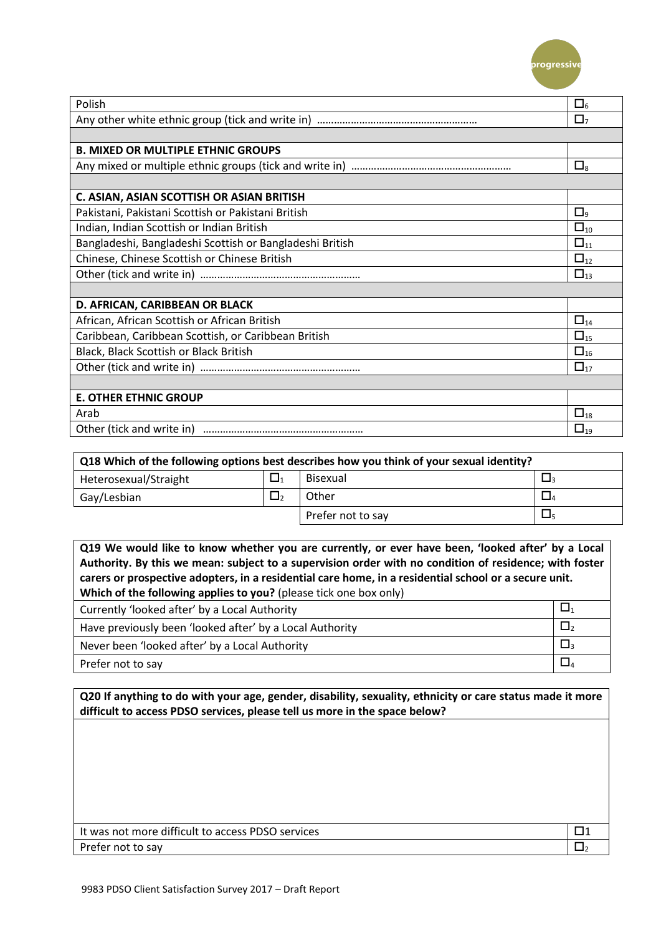

| Polish                                                   | $\square_6$    |
|----------------------------------------------------------|----------------|
|                                                          | О,             |
|                                                          |                |
| <b>B. MIXED OR MULTIPLE ETHNIC GROUPS</b>                |                |
|                                                          | $\square_8$    |
|                                                          |                |
| C. ASIAN, ASIAN SCOTTISH OR ASIAN BRITISH                |                |
| Pakistani, Pakistani Scottish or Pakistani British       | $\Box$ 9       |
| Indian, Indian Scottish or Indian British                | $\square_{10}$ |
| Bangladeshi, Bangladeshi Scottish or Bangladeshi British | $\square_{11}$ |
| Chinese, Chinese Scottish or Chinese British             | $\square_{12}$ |
|                                                          | $\square_{13}$ |
|                                                          |                |
| D. AFRICAN, CARIBBEAN OR BLACK                           |                |
| African, African Scottish or African British             | $\square_{14}$ |
| Caribbean, Caribbean Scottish, or Caribbean British      | $\square_{15}$ |
| Black, Black Scottish or Black British                   | $\square_{16}$ |
|                                                          | $\square_{17}$ |
|                                                          |                |
| <b>E. OTHER ETHNIC GROUP</b>                             |                |
| Arab                                                     | $\square_{18}$ |
| Other (tick and write in)                                | $\Box_{19}$    |

| Q18 Which of the following options best describes how you think of your sexual identity? |          |                   |  |  |  |
|------------------------------------------------------------------------------------------|----------|-------------------|--|--|--|
| Heterosexual/Straight                                                                    | $\Box_1$ | <b>Bisexual</b>   |  |  |  |
| Gay/Lesbian                                                                              |          | Other             |  |  |  |
|                                                                                          |          | Prefer not to say |  |  |  |

| Q19 We would like to know whether you are currently, or ever have been, 'looked after' by a Local<br>Authority. By this we mean: subject to a supervision order with no condition of residence; with foster<br>carers or prospective adopters, in a residential care home, in a residential school or a secure unit.<br>Which of the following applies to you? (please tick one box only) |          |  |  |  |
|-------------------------------------------------------------------------------------------------------------------------------------------------------------------------------------------------------------------------------------------------------------------------------------------------------------------------------------------------------------------------------------------|----------|--|--|--|
| Currently 'looked after' by a Local Authority                                                                                                                                                                                                                                                                                                                                             | $\Box$   |  |  |  |
| Have previously been 'looked after' by a Local Authority                                                                                                                                                                                                                                                                                                                                  | $\Box$   |  |  |  |
| Never been 'looked after' by a Local Authority                                                                                                                                                                                                                                                                                                                                            | $\Box_3$ |  |  |  |
| Prefer not to say                                                                                                                                                                                                                                                                                                                                                                         | О,       |  |  |  |

**Q20 If anything to do with your age, gender, disability, sexuality, ethnicity or care status made it more difficult to access PDSO services, please tell us more in the space below?**

| It was not more difficult to access PDSO services |  |
|---------------------------------------------------|--|
| Prefer not to say                                 |  |